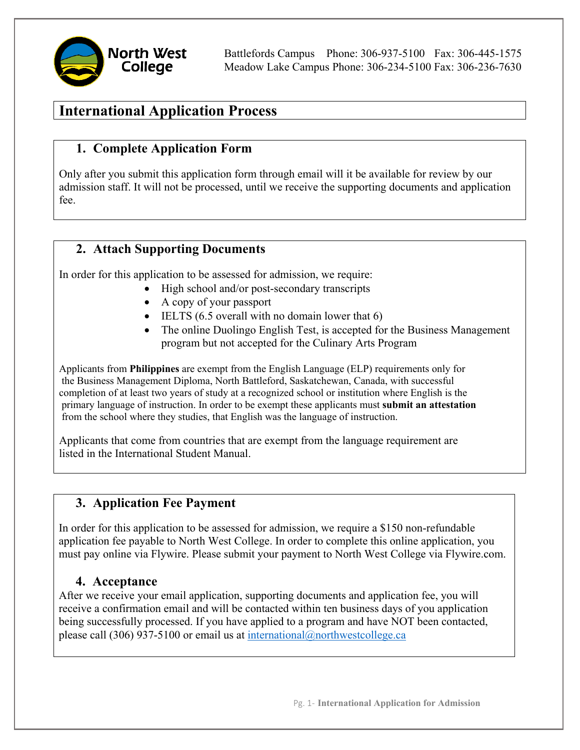Battlefords Campus Phone: 306-937-5100 Fax: 306-445-1575 Meadow Lake Campus Phone: 306-234-5100 Fax: 306-236-7630

# **International Application Process**

# **1. Complete Application Form**

Only after you submit this application form through email will it be available for review by our admission staff. It will not be processed, until we receive the supporting documents and application fee.

## **2. Attach Supporting Documents**

In order for this application to be assessed for admission, we require:

- High school and/or post-secondary transcripts
- A copy of your passport
- IELTS (6.5 overall with no domain lower that 6)
- The online Duolingo English Test, is accepted for the Business Management program but not accepted for the Culinary Arts Program

Applicants from **Philippines** are exempt from the English Language (ELP) requirements only for the Business Management Diploma, North Battleford, Saskatchewan, Canada, with successful completion of at least two years of study at a recognized school or institution where English is the primary language of instruction. In order to be exempt these applicants must **submit an attestation** from the school where they studies, that English was the language of instruction.

Applicants that come from countries that are exempt from the language requirement are listed in the International Student Manual.

## **3. Application Fee Payment**

In order for this application to be assessed for admission, we require a \$150 non-refundable application fee payable to North West College. In order to complete this online application, you must pay online via Flywire. Please submit your payment to North West College via Flywire.com.

### **4. Acceptance**

After we receive your email application, supporting documents and application fee, you will receive a confirmation email and will be contacted within ten business days of you application being successfully processed. If you have applied to a program and have NOT been contacted, please call (306) 937-5100 or email us at [international@northwestcollege.ca](mailto:international@northwestcollege.ca)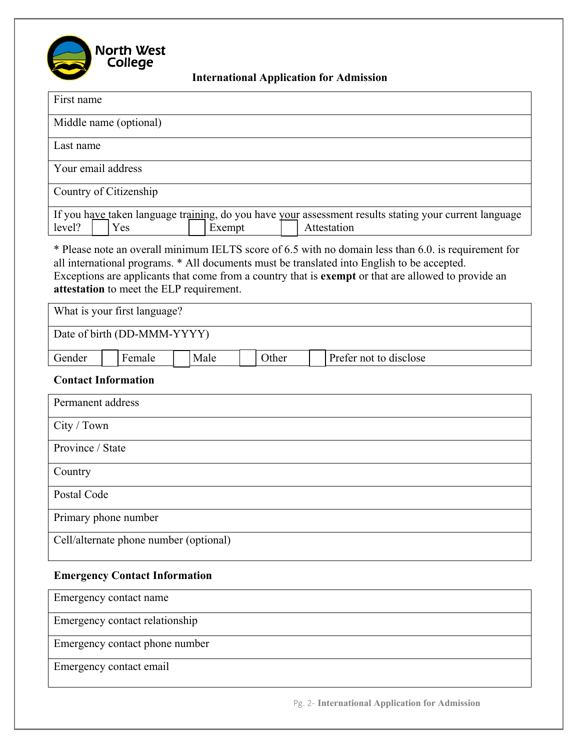

**International Application for Admission**

| First name                                                                                                                                                                                                                                                                                                                                             |  |  |
|--------------------------------------------------------------------------------------------------------------------------------------------------------------------------------------------------------------------------------------------------------------------------------------------------------------------------------------------------------|--|--|
| Middle name (optional)                                                                                                                                                                                                                                                                                                                                 |  |  |
| Last name                                                                                                                                                                                                                                                                                                                                              |  |  |
| Your email address                                                                                                                                                                                                                                                                                                                                     |  |  |
| Country of Citizenship                                                                                                                                                                                                                                                                                                                                 |  |  |
| If you have taken language training, do you have your assessment results stating your current language<br>level?<br>Attestation<br>Yes<br>Exempt                                                                                                                                                                                                       |  |  |
| * Please note an overall minimum IELTS score of 6.5 with no domain less than 6.0. is requirement for<br>all international programs. * All documents must be translated into English to be accepted.<br>Exceptions are applicants that come from a country that is exempt or that are allowed to provide an<br>attestation to meet the ELP requirement. |  |  |
| What is your first language?                                                                                                                                                                                                                                                                                                                           |  |  |
| Date of birth (DD-MMM-YYYY)                                                                                                                                                                                                                                                                                                                            |  |  |
| Prefer not to disclose<br>Female<br>Male<br>Other<br>Gender                                                                                                                                                                                                                                                                                            |  |  |
| <b>Contact Information</b>                                                                                                                                                                                                                                                                                                                             |  |  |
| Permanent address                                                                                                                                                                                                                                                                                                                                      |  |  |
| City / Town                                                                                                                                                                                                                                                                                                                                            |  |  |
| Province / State                                                                                                                                                                                                                                                                                                                                       |  |  |
| Country                                                                                                                                                                                                                                                                                                                                                |  |  |
| Postal Code                                                                                                                                                                                                                                                                                                                                            |  |  |
| Primary phone number                                                                                                                                                                                                                                                                                                                                   |  |  |
| Cell/alternate phone number (optional)                                                                                                                                                                                                                                                                                                                 |  |  |
| <b>Emergency Contact Information</b>                                                                                                                                                                                                                                                                                                                   |  |  |
| Emergency contact name                                                                                                                                                                                                                                                                                                                                 |  |  |
| Emergency contact relationship                                                                                                                                                                                                                                                                                                                         |  |  |
| Emergency contact phone number                                                                                                                                                                                                                                                                                                                         |  |  |

Emergency contact email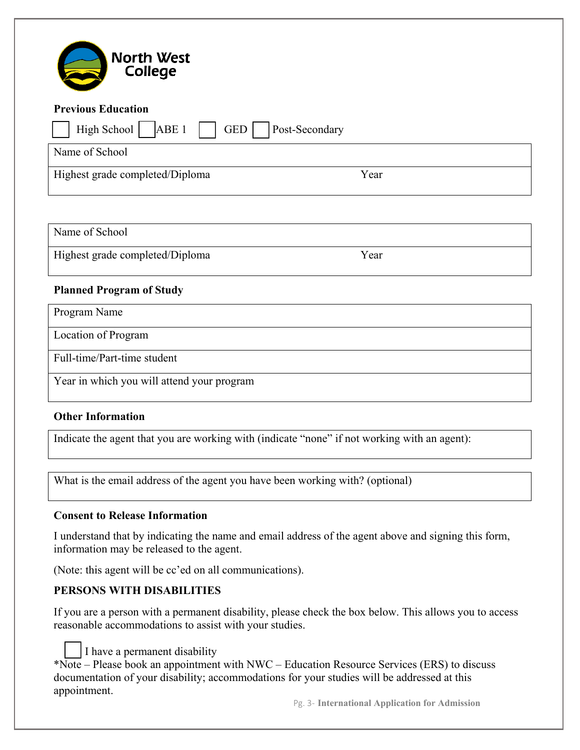| <b>North West</b><br>College                                                                 |      |  |
|----------------------------------------------------------------------------------------------|------|--|
| <b>Previous Education</b>                                                                    |      |  |
| High School<br>ABE <sub>1</sub><br>GED  <br>Post-Secondary                                   |      |  |
| Name of School                                                                               |      |  |
| Highest grade completed/Diploma                                                              | Year |  |
|                                                                                              |      |  |
| Name of School                                                                               |      |  |
| Highest grade completed/Diploma                                                              | Year |  |
| <b>Planned Program of Study</b>                                                              |      |  |
| Program Name                                                                                 |      |  |
| Location of Program                                                                          |      |  |
| Full-time/Part-time student                                                                  |      |  |
| Year in which you will attend your program                                                   |      |  |
| <b>Other Information</b>                                                                     |      |  |
| Indicate the agent that you are working with (indicate "none" if not working with an agent): |      |  |

What is the email address of the agent you have been working with? (optional)

#### **Consent to Release Information**

I understand that by indicating the name and email address of the agent above and signing this form, information may be released to the agent.

(Note: this agent will be cc'ed on all communications).

#### **PERSONS WITH DISABILITIES**

If you are a person with a permanent disability, please check the box below. This allows you to access reasonable accommodations to assist with your studies.

I have a permanent disability

\*Note – Please book an appointment with NWC – Education Resource Services (ERS) to discuss documentation of your disability; accommodations for your studies will be addressed at this appointment.

Pg. 3- **International Application for Admission**